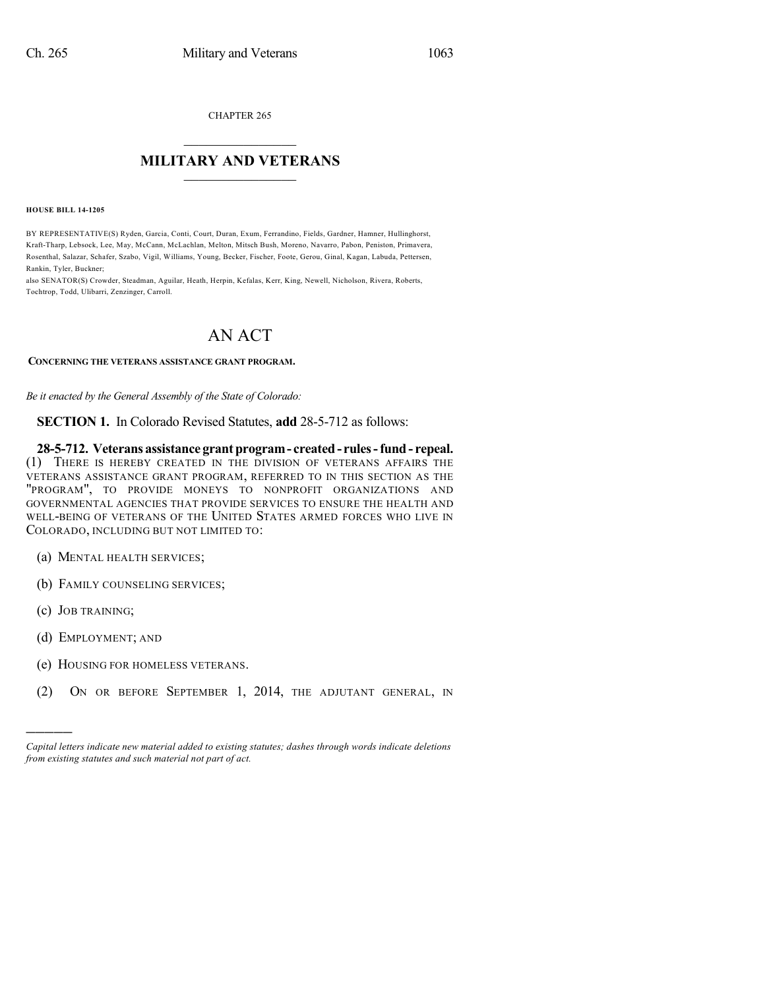CHAPTER 265

## $\overline{\phantom{a}}$  . The set of the set of the set of the set of the set of the set of the set of the set of the set of the set of the set of the set of the set of the set of the set of the set of the set of the set of the set o **MILITARY AND VETERANS**  $\frac{1}{2}$  ,  $\frac{1}{2}$  ,  $\frac{1}{2}$  ,  $\frac{1}{2}$  ,  $\frac{1}{2}$  ,  $\frac{1}{2}$  ,  $\frac{1}{2}$

**HOUSE BILL 14-1205**

BY REPRESENTATIVE(S) Ryden, Garcia, Conti, Court, Duran, Exum, Ferrandino, Fields, Gardner, Hamner, Hullinghorst, Kraft-Tharp, Lebsock, Lee, May, McCann, McLachlan, Melton, Mitsch Bush, Moreno, Navarro, Pabon, Peniston, Primavera, Rosenthal, Salazar, Schafer, Szabo, Vigil, Williams, Young, Becker, Fischer, Foote, Gerou, Ginal, Kagan, Labuda, Pettersen, Rankin, Tyler, Buckner;

also SENATOR(S) Crowder, Steadman, Aguilar, Heath, Herpin, Kefalas, Kerr, King, Newell, Nicholson, Rivera, Roberts, Tochtrop, Todd, Ulibarri, Zenzinger, Carroll.

## AN ACT

## **CONCERNING THE VETERANS ASSISTANCE GRANT PROGRAM.**

*Be it enacted by the General Assembly of the State of Colorado:*

**SECTION 1.** In Colorado Revised Statutes, **add** 28-5-712 as follows:

**28-5-712. Veterans assistance grantprogram- created- rules-fund - repeal.** (1) THERE IS HEREBY CREATED IN THE DIVISION OF VETERANS AFFAIRS THE VETERANS ASSISTANCE GRANT PROGRAM, REFERRED TO IN THIS SECTION AS THE "PROGRAM", TO PROVIDE MONEYS TO NONPROFIT ORGANIZATIONS AND GOVERNMENTAL AGENCIES THAT PROVIDE SERVICES TO ENSURE THE HEALTH AND WELL-BEING OF VETERANS OF THE UNITED STATES ARMED FORCES WHO LIVE IN COLORADO, INCLUDING BUT NOT LIMITED TO:

- (a) MENTAL HEALTH SERVICES;
- (b) FAMILY COUNSELING SERVICES;
- (c) JOB TRAINING;

)))))

- (d) EMPLOYMENT; AND
- (e) HOUSING FOR HOMELESS VETERANS.
- (2) ON OR BEFORE SEPTEMBER 1, 2014, THE ADJUTANT GENERAL, IN

*Capital letters indicate new material added to existing statutes; dashes through words indicate deletions from existing statutes and such material not part of act.*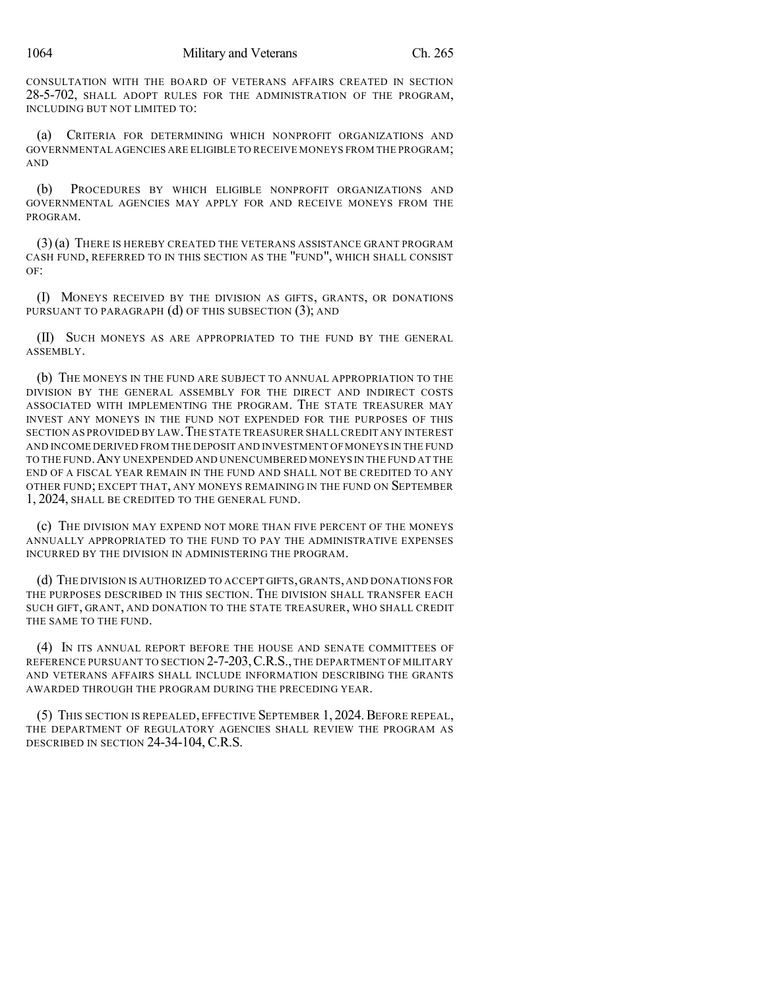CONSULTATION WITH THE BOARD OF VETERANS AFFAIRS CREATED IN SECTION 28-5-702, SHALL ADOPT RULES FOR THE ADMINISTRATION OF THE PROGRAM, INCLUDING BUT NOT LIMITED TO:

(a) CRITERIA FOR DETERMINING WHICH NONPROFIT ORGANIZATIONS AND GOVERNMENTAL AGENCIES ARE ELIGIBLE TO RECEIVE MONEYS FROM THE PROGRAM; AND

(b) PROCEDURES BY WHICH ELIGIBLE NONPROFIT ORGANIZATIONS AND GOVERNMENTAL AGENCIES MAY APPLY FOR AND RECEIVE MONEYS FROM THE PROGRAM.

(3) (a) THERE IS HEREBY CREATED THE VETERANS ASSISTANCE GRANT PROGRAM CASH FUND, REFERRED TO IN THIS SECTION AS THE "FUND", WHICH SHALL CONSIST OF:

(I) MONEYS RECEIVED BY THE DIVISION AS GIFTS, GRANTS, OR DONATIONS PURSUANT TO PARAGRAPH (d) OF THIS SUBSECTION (3); AND

(II) SUCH MONEYS AS ARE APPROPRIATED TO THE FUND BY THE GENERAL ASSEMBLY.

(b) THE MONEYS IN THE FUND ARE SUBJECT TO ANNUAL APPROPRIATION TO THE DIVISION BY THE GENERAL ASSEMBLY FOR THE DIRECT AND INDIRECT COSTS ASSOCIATED WITH IMPLEMENTING THE PROGRAM. THE STATE TREASURER MAY INVEST ANY MONEYS IN THE FUND NOT EXPENDED FOR THE PURPOSES OF THIS SECTION AS PROVIDED BY LAW.THE STATE TREASURER SHALL CREDIT ANY INTEREST AND INCOME DERIVED FROM THE DEPOSIT AND INVESTMENT OF MONEYS IN THE FUND TO THE FUND.ANY UNEXPENDED AND UNENCUMBERED MONEYS IN THE FUND AT THE END OF A FISCAL YEAR REMAIN IN THE FUND AND SHALL NOT BE CREDITED TO ANY OTHER FUND; EXCEPT THAT, ANY MONEYS REMAINING IN THE FUND ON SEPTEMBER 1, 2024, SHALL BE CREDITED TO THE GENERAL FUND.

(c) THE DIVISION MAY EXPEND NOT MORE THAN FIVE PERCENT OF THE MONEYS ANNUALLY APPROPRIATED TO THE FUND TO PAY THE ADMINISTRATIVE EXPENSES INCURRED BY THE DIVISION IN ADMINISTERING THE PROGRAM.

(d) THE DIVISION IS AUTHORIZED TO ACCEPT GIFTS, GRANTS, AND DONATIONS FOR THE PURPOSES DESCRIBED IN THIS SECTION. THE DIVISION SHALL TRANSFER EACH SUCH GIFT, GRANT, AND DONATION TO THE STATE TREASURER, WHO SHALL CREDIT THE SAME TO THE FUND.

(4) IN ITS ANNUAL REPORT BEFORE THE HOUSE AND SENATE COMMITTEES OF REFERENCE PURSUANT TO SECTION 2-7-203, C.R.S., THE DEPARTMENT OF MILITARY AND VETERANS AFFAIRS SHALL INCLUDE INFORMATION DESCRIBING THE GRANTS AWARDED THROUGH THE PROGRAM DURING THE PRECEDING YEAR.

(5) THIS SECTION IS REPEALED, EFFECTIVE SEPTEMBER 1, 2024.BEFORE REPEAL, THE DEPARTMENT OF REGULATORY AGENCIES SHALL REVIEW THE PROGRAM AS DESCRIBED IN SECTION 24-34-104, C.R.S.